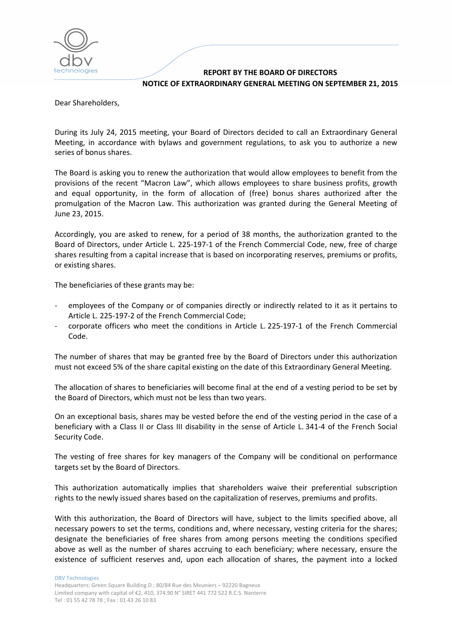

## **REPORT BY THE BOARD OF DIRECTORS NOTICE OF EXTRAORDINARY GENERAL MEETING ON SEPTEMBER 21, 2015**

Dear Shareholders,

During its July 24, 2015 meeting, your Board of Directors decided to call an Extraordinary General Meeting, in accordance with bylaws and government regulations, to ask you to authorize a new series of bonus shares.

The Board is asking you to renew the authorization that would allow employees to benefit from the provisions of the recent "Macron Law", which allows employees to share business profits, growth and equal opportunity, in the form of allocation of (free) bonus shares authorized after the promulgation of the Macron Law. This authorization was granted during the General Meeting of June 23, 2015.

Accordingly, you are asked to renew, for a period of 38 months, the authorization granted to the Board of Directors, under Article L. 225‐197‐1 of the French Commercial Code, new, free of charge shares resulting from a capital increase that is based on incorporating reserves, premiums or profits, or existing shares.

The beneficiaries of these grants may be:

- employees of the Company or of companies directly or indirectly related to it as it pertains to Article L. 225‐197‐2 of the French Commercial Code;
- ‐ corporate officers who meet the conditions in Article L. 225‐197‐1 of the French Commercial Code.

The number of shares that may be granted free by the Board of Directors under this authorization must not exceed 5% of the share capital existing on the date of this Extraordinary General Meeting.

The allocation of shares to beneficiaries will become final at the end of a vesting period to be set by the Board of Directors, which must not be less than two years.

On an exceptional basis, shares may be vested before the end of the vesting period in the case of a beneficiary with a Class II or Class III disability in the sense of Article L. 341-4 of the French Social Security Code.

The vesting of free shares for key managers of the Company will be conditional on performance targets set by the Board of Directors.

This authorization automatically implies that shareholders waive their preferential subscription rights to the newly issued shares based on the capitalization of reserves, premiums and profits.

With this authorization, the Board of Directors will have, subject to the limits specified above, all necessary powers to set the terms, conditions and, where necessary, vesting criteria for the shares; designate the beneficiaries of free shares from among persons meeting the conditions specified above as well as the number of shares accruing to each beneficiary; where necessary, ensure the existence of sufficient reserves and, upon each allocation of shares, the payment into a locked

DBV Technologies